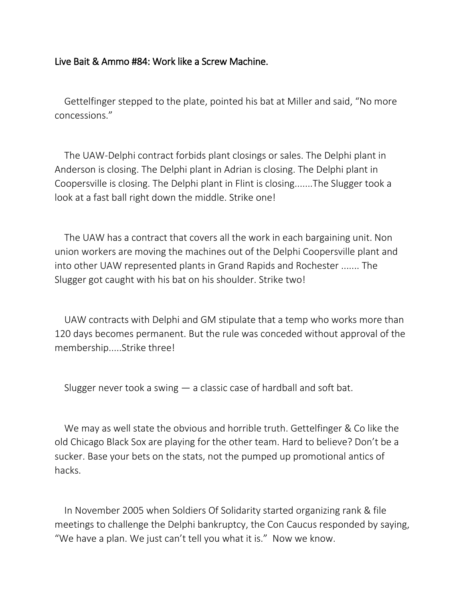## Live Bait & Ammo #84: Work like a Screw Machine.

Gettelfinger stepped to the plate, pointed his bat at Miller and said, "No more concessions."

The UAW-Delphi contract forbids plant closings or sales. The Delphi plant in Anderson is closing. The Delphi plant in Adrian is closing. The Delphi plant in Coopersville is closing. The Delphi plant in Flint is closing.......The Slugger took a look at a fast ball right down the middle. Strike one!

The UAW has a contract that covers all the work in each bargaining unit. Non union workers are moving the machines out of the Delphi Coopersville plant and into other UAW represented plants in Grand Rapids and Rochester ....... The Slugger got caught with his bat on his shoulder. Strike two!

UAW contracts with Delphi and GM stipulate that a temp who works more than 120 days becomes permanent. But the rule was conceded without approval of the membership.....Strike three!

Slugger never took a swing  $-$  a classic case of hardball and soft bat.

We may as well state the obvious and horrible truth. Gettelfinger & Co like the old Chicago Black Sox are playing for the other team. Hard to believe? Don't be a sucker. Base your bets on the stats, not the pumped up promotional antics of hacks.

In November 2005 when Soldiers Of Solidarity started organizing rank & file meetings to challenge the Delphi bankruptcy, the Con Caucus responded by saying, "We have a plan. We just can't tell you what it is." Now we know.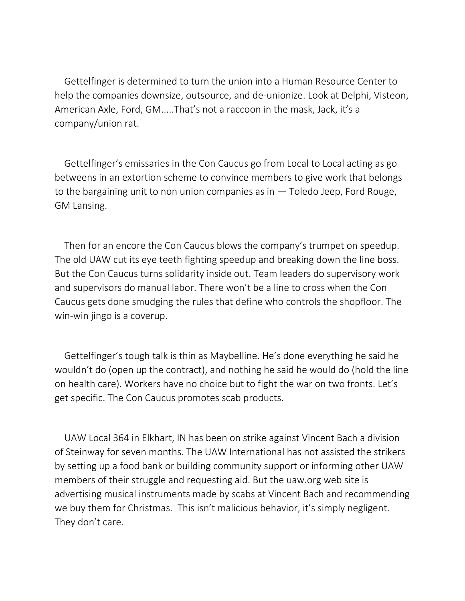Gettelfinger is determined to turn the union into a Human Resource Center to help the companies downsize, outsource, and de-unionize. Look at Delphi, Visteon, American Axle, Ford, GM.....That's not a raccoon in the mask, Jack, it's a company/union rat.

Gettelfinger's emissaries in the Con Caucus go from Local to Local acting as go betweens in an extortion scheme to convince members to give work that belongs to the bargaining unit to non union companies as in — Toledo Jeep, Ford Rouge, GM Lansing.

Then for an encore the Con Caucus blows the company's trumpet on speedup. The old UAW cut its eye teeth fighting speedup and breaking down the line boss. But the Con Caucus turns solidarity inside out. Team leaders do supervisory work and supervisors do manual labor. There won't be a line to cross when the Con Caucus gets done smudging the rules that define who controls the shopfloor. The win-win jingo is a coverup.

Gettelfinger's tough talk is thin as Maybelline. He's done everything he said he wouldn't do (open up the contract), and nothing he said he would do (hold the line on health care). Workers have no choice but to fight the war on two fronts. Let's get specific. The Con Caucus promotes scab products.

UAW Local 364 in Elkhart, IN has been on strike against Vincent Bach a division of Steinway for seven months. The UAW International has not assisted the strikers by setting up a food bank or building community support or informing other UAW members of their struggle and requesting aid. But the uaw.org web site is advertising musical instruments made by scabs at Vincent Bach and recommending we buy them for Christmas. This isn't malicious behavior, it's simply negligent. They don't care.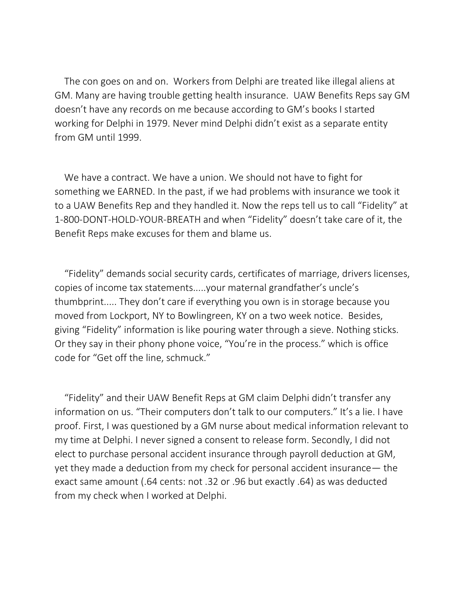The con goes on and on. Workers from Delphi are treated like illegal aliens at GM. Many are having trouble getting health insurance. UAW Benefits Reps say GM doesn't have any records on me because according to GM's books I started working for Delphi in 1979. Never mind Delphi didn't exist as a separate entity from GM until 1999.

We have a contract. We have a union. We should not have to fight for something we EARNED. In the past, if we had problems with insurance we took it to a UAW Benefits Rep and they handled it. Now the reps tell us to call "Fidelity" at 1-800-DONT-HOLD-YOUR-BREATH and when "Fidelity" doesn't take care of it, the Benefit Reps make excuses for them and blame us.

"Fidelity" demands social security cards, certificates of marriage, drivers licenses, copies of income tax statements.....your maternal grandfather's uncle's thumbprint..... They don't care if everything you own is in storage because you moved from Lockport, NY to Bowlingreen, KY on a two week notice. Besides, giving "Fidelity" information is like pouring water through a sieve. Nothing sticks. Or they say in their phony phone voice, "You're in the process." which is office code for "Get off the line, schmuck."

"Fidelity" and their UAW Benefit Reps at GM claim Delphi didn't transfer any information on us. "Their computers don't talk to our computers." It's a lie. I have proof. First, I was questioned by a GM nurse about medical information relevant to my time at Delphi. I never signed a consent to release form. Secondly, I did not elect to purchase personal accident insurance through payroll deduction at GM, yet they made a deduction from my check for personal accident insurance— the exact same amount (.64 cents: not .32 or .96 but exactly .64) as was deducted from my check when I worked at Delphi.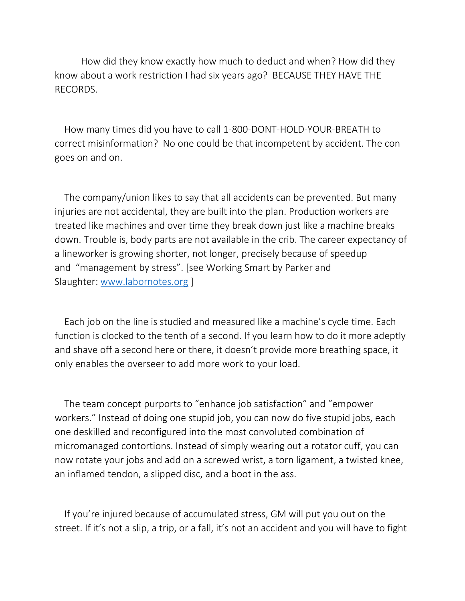How did they know exactly how much to deduct and when? How did they know about a work restriction I had six years ago? BECAUSE THEY HAVE THE RECORDS.

How many times did you have to call 1-800-DONT-HOLD-YOUR-BREATH to correct misinformation? No one could be that incompetent by accident. The con goes on and on.

The company/union likes to say that all accidents can be prevented. But many injuries are not accidental, they are built into the plan. Production workers are treated like machines and over time they break down just like a machine breaks down. Trouble is, body parts are not available in the crib. The career expectancy of a lineworker is growing shorter, not longer, precisely because of speedup and "management by stress". [see Working Smart by Parker and Slaughter: [www.labornotes.org](http://www.labornotes.org/) ]

Each job on the line is studied and measured like a machine's cycle time. Each function is clocked to the tenth of a second. If you learn how to do it more adeptly and shave off a second here or there, it doesn't provide more breathing space, it only enables the overseer to add more work to your load.

The team concept purports to "enhance job satisfaction" and "empower workers." Instead of doing one stupid job, you can now do five stupid jobs, each one deskilled and reconfigured into the most convoluted combination of micromanaged contortions. Instead of simply wearing out a rotator cuff, you can now rotate your jobs and add on a screwed wrist, a torn ligament, a twisted knee, an inflamed tendon, a slipped disc, and a boot in the ass.

If you're injured because of accumulated stress, GM will put you out on the street. If it's not a slip, a trip, or a fall, it's not an accident and you will have to fight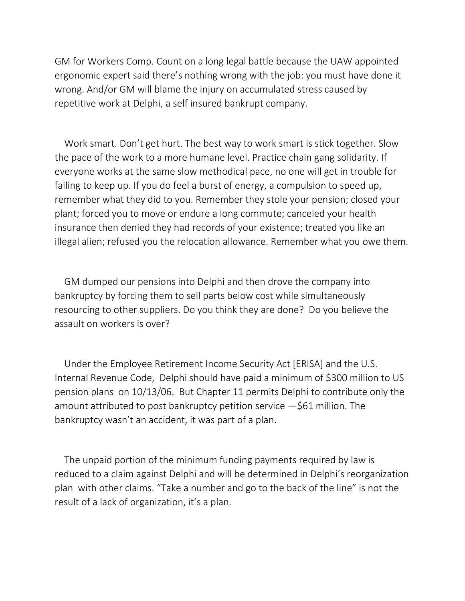GM for Workers Comp. Count on a long legal battle because the UAW appointed ergonomic expert said there's nothing wrong with the job: you must have done it wrong. And/or GM will blame the injury on accumulated stress caused by repetitive work at Delphi, a self insured bankrupt company.

Work smart. Don't get hurt. The best way to work smart is stick together. Slow the pace of the work to a more humane level. Practice chain gang solidarity. If everyone works at the same slow methodical pace, no one will get in trouble for failing to keep up. If you do feel a burst of energy, a compulsion to speed up, remember what they did to you. Remember they stole your pension; closed your plant; forced you to move or endure a long commute; canceled your health insurance then denied they had records of your existence; treated you like an illegal alien; refused you the relocation allowance. Remember what you owe them.

GM dumped our pensions into Delphi and then drove the company into bankruptcy by forcing them to sell parts below cost while simultaneously resourcing to other suppliers. Do you think they are done? Do you believe the assault on workers is over?

Under the Employee Retirement Income Security Act [ERISA] and the U.S. Internal Revenue Code, Delphi should have paid a minimum of \$300 million to US pension plans on 10/13/06. But Chapter 11 permits Delphi to contribute only the amount attributed to post bankruptcy petition service —\$61 million. The bankruptcy wasn't an accident, it was part of a plan.

The unpaid portion of the minimum funding payments required by law is reduced to a claim against Delphi and will be determined in Delphi's reorganization plan with other claims. "Take a number and go to the back of the line" is not the result of a lack of organization, it's a plan.